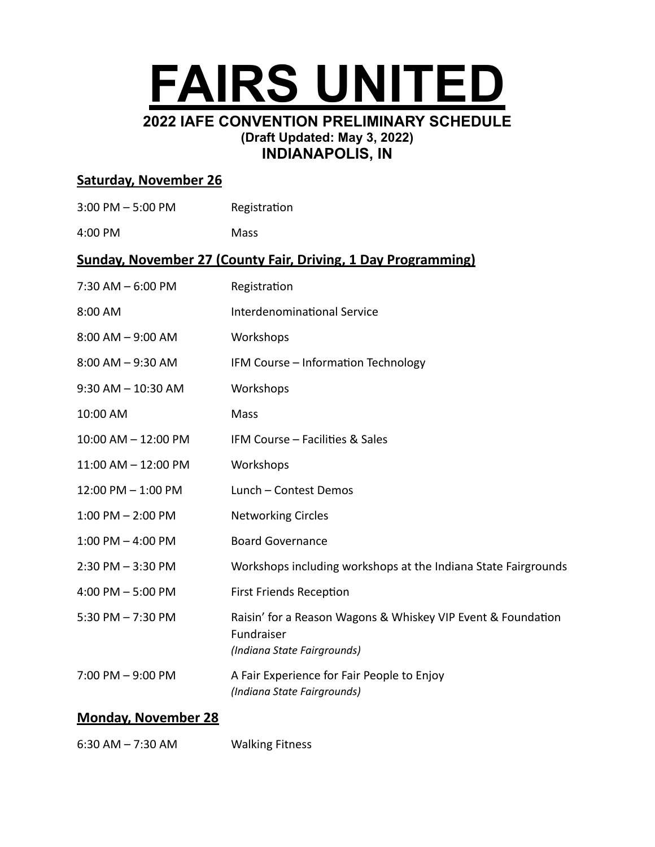

# **Saturday, November 26**

| $3:00$ PM $-5:00$ PM                                                 | Registration                                                                                              |  |
|----------------------------------------------------------------------|-----------------------------------------------------------------------------------------------------------|--|
| 4:00 PM                                                              | <b>Mass</b>                                                                                               |  |
| <b>Sunday, November 27 (County Fair, Driving, 1 Day Programming)</b> |                                                                                                           |  |
| $7:30$ AM $-6:00$ PM                                                 | Registration                                                                                              |  |
| 8:00 AM                                                              | <b>Interdenominational Service</b>                                                                        |  |
| $8:00$ AM $-9:00$ AM                                                 | Workshops                                                                                                 |  |
| $8:00$ AM $-9:30$ AM                                                 | IFM Course - Information Technology                                                                       |  |
| $9:30$ AM $- 10:30$ AM                                               | Workshops                                                                                                 |  |
| 10:00 AM                                                             | Mass                                                                                                      |  |
| 10:00 AM - 12:00 PM                                                  | IFM Course - Facilities & Sales                                                                           |  |
| 11:00 AM - 12:00 PM                                                  | Workshops                                                                                                 |  |
| 12:00 PM - 1:00 PM                                                   | Lunch - Contest Demos                                                                                     |  |
| $1:00$ PM $- 2:00$ PM                                                | <b>Networking Circles</b>                                                                                 |  |
| $1:00$ PM $-$ 4:00 PM                                                | <b>Board Governance</b>                                                                                   |  |
| $2:30$ PM $-3:30$ PM                                                 | Workshops including workshops at the Indiana State Fairgrounds                                            |  |
| 4:00 PM $-$ 5:00 PM                                                  | <b>First Friends Reception</b>                                                                            |  |
| 5:30 PM $- 7:30$ PM                                                  | Raisin' for a Reason Wagons & Whiskey VIP Event & Foundation<br>Fundraiser<br>(Indiana State Fairgrounds) |  |
| $7:00$ PM $-9:00$ PM                                                 | A Fair Experience for Fair People to Enjoy<br>(Indiana State Fairgrounds)                                 |  |

### **Monday, November 28**

6:30 AM – 7:30 AM Walking Fitness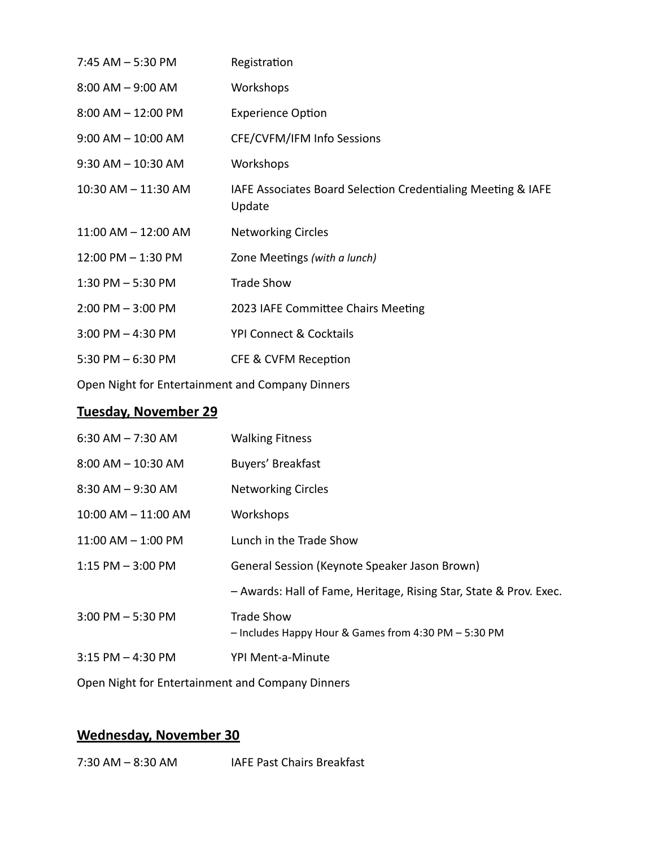| $7:45$ AM $-5:30$ PM    | Registration                                                           |
|-------------------------|------------------------------------------------------------------------|
| $8:00$ AM $-9:00$ AM    | Workshops                                                              |
| $8:00$ AM $- 12:00$ PM  | <b>Experience Option</b>                                               |
| $9:00$ AM $-10:00$ AM   | CFE/CVFM/IFM Info Sessions                                             |
| $9:30$ AM $- 10:30$ AM  | Workshops                                                              |
| $10:30$ AM $- 11:30$ AM | IAFE Associates Board Selection Credentialing Meeting & IAFE<br>Update |
| $11:00$ AM $- 12:00$ AM | <b>Networking Circles</b>                                              |
| $12:00$ PM $- 1:30$ PM  | Zone Meetings (with a lunch)                                           |
| $1:30$ PM $-5:30$ PM    | <b>Trade Show</b>                                                      |
| $2:00$ PM $-3:00$ PM    | 2023 IAFE Committee Chairs Meeting                                     |
| $3:00$ PM $-$ 4:30 PM   | <b>YPI Connect &amp; Cocktails</b>                                     |
| 5:30 PM $-6:30$ PM      | <b>CFE &amp; CVFM Reception</b>                                        |
|                         |                                                                        |

Open Night for Entertainment and Company Dinners

# **Tuesday, November 29**

| $6:30$ AM $- 7:30$ AM   | <b>Walking Fitness</b>                                                    |
|-------------------------|---------------------------------------------------------------------------|
| $8:00$ AM $-$ 10:30 AM  | Buyers' Breakfast                                                         |
| $8:30$ AM $-9:30$ AM    | <b>Networking Circles</b>                                                 |
| $10:00$ AM $- 11:00$ AM | Workshops                                                                 |
| $11:00$ AM $- 1:00$ PM  | Lunch in the Trade Show                                                   |
| $1:15$ PM $-3:00$ PM    | General Session (Keynote Speaker Jason Brown)                             |
|                         | - Awards: Hall of Fame, Heritage, Rising Star, State & Prov. Exec.        |
| $3:00$ PM $-5:30$ PM    | <b>Trade Show</b><br>- Includes Happy Hour & Games from 4:30 PM - 5:30 PM |
| $3:15$ PM $-$ 4:30 PM   | YPI Ment-a-Minute                                                         |
|                         |                                                                           |

Open Night for Entertainment and Company Dinners

# **Wednesday, November 30**

7:30 AM - 8:30 AM IAFE Past Chairs Breakfast